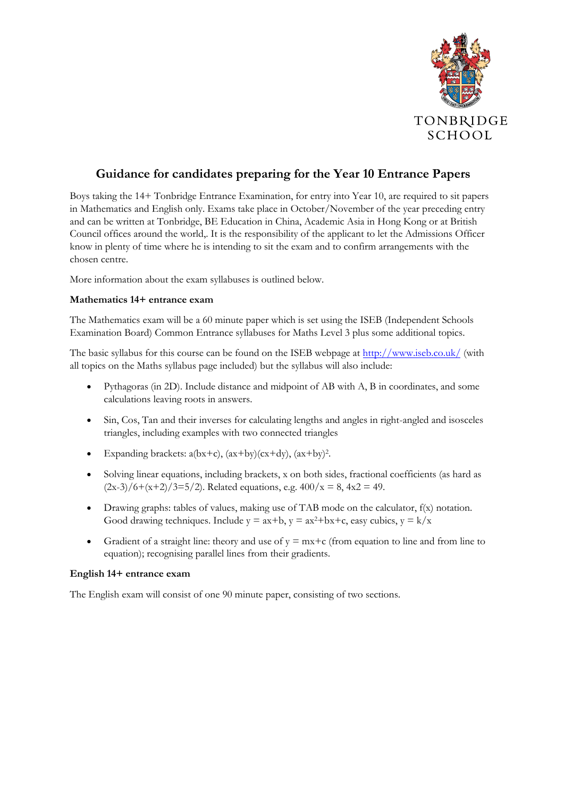

## **Guidance for candidates preparing for the Year 10 Entrance Papers**

Boys taking the 14+ Tonbridge Entrance Examination, for entry into Year 10, are required to sit papers in Mathematics and English only. Exams take place in October/November of the year preceding entry and can be written at Tonbridge, BE Education in China, Academic Asia in Hong Kong or at British Council offices around the world,. It is the responsibility of the applicant to let the Admissions Officer know in plenty of time where he is intending to sit the exam and to confirm arrangements with the chosen centre.

More information about the exam syllabuses is outlined below.

## **Mathematics 14+ entrance exam**

The Mathematics exam will be a 60 minute paper which is set using the ISEB (Independent Schools Examination Board) Common Entrance syllabuses for Maths Level 3 plus some additional topics.

The basic syllabus for this course can be found on the ISEB webpage at <http://www.iseb.co.uk/> (with all topics on the Maths syllabus page included) but the syllabus will also include:

- Pythagoras (in 2D). Include distance and midpoint of AB with A, B in coordinates, and some calculations leaving roots in answers.
- Sin, Cos, Tan and their inverses for calculating lengths and angles in right-angled and isosceles triangles, including examples with two connected triangles
- Expanding brackets:  $a(bx+c)$ ,  $(ax+by)(cx+dy)$ ,  $(ax+by)^2$ .
- Solving linear equations, including brackets, x on both sides, fractional coefficients (as hard as  $(2x-3)/6+(x+2)/3=5/2$ . Related equations, e.g.  $400/x = 8$ ,  $4x2 = 49$ .
- Drawing graphs: tables of values, making use of TAB mode on the calculator, f(x) notation. Good drawing techniques. Include  $y = ax + b$ ,  $y = ax^2 + bx + c$ , easy cubics,  $y = k/x$
- Gradient of a straight line: theory and use of  $y = mx+c$  (from equation to line and from line to equation); recognising parallel lines from their gradients.

## **English 14+ entrance exam**

The English exam will consist of one 90 minute paper, consisting of two sections.